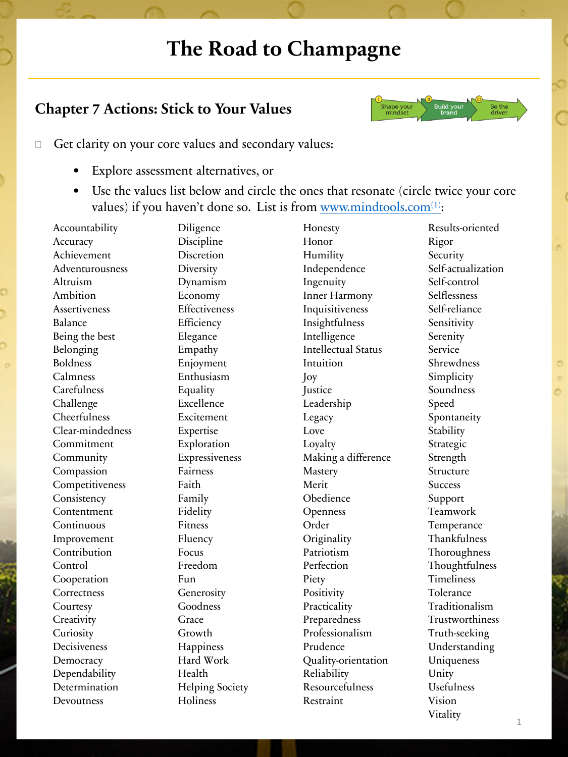## **The Road to Champagne**

## **Chapter 7 Actions: Stick to Your Values**



- $\Box$  Get clarity on your core values and secondary values:
	- Explore assessment alternatives, or
	- Use the values list below and circle the ones that resonate (circle twice your core values) if you haven't done so. List is from [www.mindtools.com](http://www.mindtools.com(1)/) $(1)$ :

Accountability **Accuracy** Achievement Adventurousness Altruism Ambition Assertiveness Balance Being the best Belonging Boldness Calmness **Carefulness** Challenge **Cheerfulness** Clear-mindedness Commitment Community Compassion Competitiveness **Consistency** Contentment Continuous Improvement Contribution Control Cooperation **Correctness Courtesy Creativity Curiosity** Decisiveness **Democracy** Dependability Determination Devoutness

Diligence Discipline Discretion **Diversity** Dynamism Economy **Effectiveness Efficiency** Elegance Empathy Enjoyment Enthusiasm Equality Excellence Excitement Expertise Exploration Expressiveness Fairness Faith Family Fidelity Fitness Fluency Focus Freedom Fun Generosity Goodness Grace Growth **Happiness** Hard Work Health Helping Society Holiness

Honesty Honor Humility Independence Ingenuity Inner Harmony Inquisitiveness Insightfulness Intelligence Intellectual Status Intuition Joy **Justice** Leadership Legacy Love Loyalty Making a difference **Mastery** Merit Obedience **Openness** Order **Originality** Patriotism Perfection Piety **Positivity Practicality** Preparedness Professionalism Prudence Quality-orientation Reliability Resourcefulness Restraint

Results-oriented Rigor **Security** Self-actualization Self-control Selflessness Self-reliance Sensitivity Serenity Service Shrewdness Simplicity Soundness Speed Spontaneity **Stability** Strategic Strength Structure **Success** Support Teamwork Temperance Thankfulness Thoroughness Thoughtfulness Timeliness Tolerance Traditionalism Trustworthiness Truth-seeking Understanding Uniqueness Unity Usefulness Vision Vitality